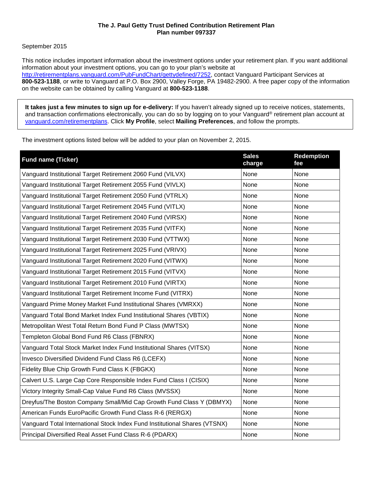# **The J. Paul Getty Trust Defined Contribution Retirement Plan Plan number 097337**

# September 2015

This notice includes important information about the investment options under your retirement plan. If you want additional information about your investment options, you can go to your plan's website at [http://retirementplans.vanguard.com/PubFundChart/gettydefined/7252,](http://retirementplans.vanguard.com/PubFundChart/gettydefined/7252) contact Vanguard Participant Services at **800-523-1188**, or write to Vanguard at P.O. Box 2900, Valley Forge, PA 19482-2900. A free paper copy of the information on the website can be obtained by calling Vanguard at **800-523-1188**.

**It takes just a few minutes to sign up for e-delivery:** If you haven't already signed up to receive notices, statements, and transaction confirmations electronically, you can do so by logging on to your Vanguard® retirement plan account at [vanguard.com/retirementplans.](http://www.vanguard.com/retirementplans) Click **My Profile**, select **Mailing Preferences**, and follow the prompts.

The investment options listed below will be added to your plan on November 2, 2015.

| <b>Fund name (Ticker)</b>                                                  | <b>Sales</b><br>charge | <b>Redemption</b><br>fee |
|----------------------------------------------------------------------------|------------------------|--------------------------|
| Vanguard Institutional Target Retirement 2060 Fund (VILVX)                 | None                   | None                     |
| Vanguard Institutional Target Retirement 2055 Fund (VIVLX)                 | None                   | None                     |
| Vanguard Institutional Target Retirement 2050 Fund (VTRLX)                 | None                   | None                     |
| Vanguard Institutional Target Retirement 2045 Fund (VITLX)                 | None                   | None                     |
| Vanguard Institutional Target Retirement 2040 Fund (VIRSX)                 | None                   | None                     |
| Vanguard Institutional Target Retirement 2035 Fund (VITFX)                 | None                   | None                     |
| Vanguard Institutional Target Retirement 2030 Fund (VTTWX)                 | None                   | None                     |
| Vanguard Institutional Target Retirement 2025 Fund (VRIVX)                 | None                   | None                     |
| Vanguard Institutional Target Retirement 2020 Fund (VITWX)                 | None                   | None                     |
| Vanguard Institutional Target Retirement 2015 Fund (VITVX)                 | None                   | None                     |
| Vanguard Institutional Target Retirement 2010 Fund (VIRTX)                 | None                   | None                     |
| Vanguard Institutional Target Retirement Income Fund (VITRX)               | None                   | None                     |
| Vanguard Prime Money Market Fund Institutional Shares (VMRXX)              | None                   | None                     |
| Vanguard Total Bond Market Index Fund Institutional Shares (VBTIX)         | None                   | None                     |
| Metropolitan West Total Return Bond Fund P Class (MWTSX)                   | None                   | None                     |
| Templeton Global Bond Fund R6 Class (FBNRX)                                | None                   | None                     |
| Vanguard Total Stock Market Index Fund Institutional Shares (VITSX)        | None                   | None                     |
| Invesco Diversified Dividend Fund Class R6 (LCEFX)                         | None                   | None                     |
| Fidelity Blue Chip Growth Fund Class K (FBGKX)                             | None                   | None                     |
| Calvert U.S. Large Cap Core Responsible Index Fund Class I (CISIX)         | None                   | None                     |
| Victory Integrity Small-Cap Value Fund R6 Class (MVSSX)                    | None                   | None                     |
| Dreyfus/The Boston Company Small/Mid Cap Growth Fund Class Y (DBMYX)       | None                   | None                     |
| American Funds EuroPacific Growth Fund Class R-6 (RERGX)                   | None                   | None                     |
| Vanguard Total International Stock Index Fund Institutional Shares (VTSNX) | None                   | None                     |
| Principal Diversified Real Asset Fund Class R-6 (PDARX)                    | None                   | None                     |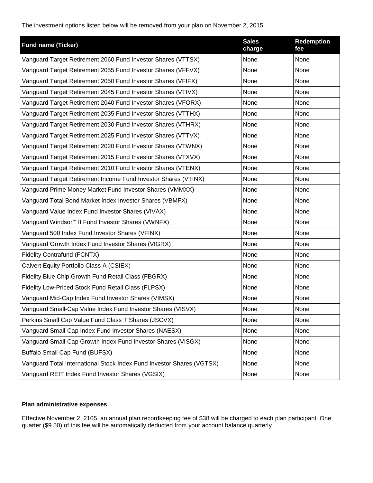The investment options listed below will be removed from your plan on November 2, 2015.

| <b>Fund name (Ticker)</b>                                             | <b>Sales</b><br>charge | <b>Redemption</b><br>fee |
|-----------------------------------------------------------------------|------------------------|--------------------------|
| Vanguard Target Retirement 2060 Fund Investor Shares (VTTSX)          | None                   | None                     |
| Vanguard Target Retirement 2055 Fund Investor Shares (VFFVX)          | None                   | None                     |
| Vanguard Target Retirement 2050 Fund Investor Shares (VFIFX)          | None                   | None                     |
| Vanguard Target Retirement 2045 Fund Investor Shares (VTIVX)          | None                   | None                     |
| Vanguard Target Retirement 2040 Fund Investor Shares (VFORX)          | None                   | None                     |
| Vanguard Target Retirement 2035 Fund Investor Shares (VTTHX)          | None                   | None                     |
| Vanguard Target Retirement 2030 Fund Investor Shares (VTHRX)          | None                   | None                     |
| Vanguard Target Retirement 2025 Fund Investor Shares (VTTVX)          | None                   | None                     |
| Vanguard Target Retirement 2020 Fund Investor Shares (VTWNX)          | None                   | None                     |
| Vanguard Target Retirement 2015 Fund Investor Shares (VTXVX)          | None                   | None                     |
| Vanguard Target Retirement 2010 Fund Investor Shares (VTENX)          | None                   | None                     |
| Vanguard Target Retirement Income Fund Investor Shares (VTINX)        | None                   | None                     |
| Vanguard Prime Money Market Fund Investor Shares (VMMXX)              | None                   | None                     |
| Vanguard Total Bond Market Index Investor Shares (VBMFX)              | None                   | None                     |
| Vanguard Value Index Fund Investor Shares (VIVAX)                     | None                   | None                     |
| Vanguard Windsor <sup>™</sup> II Fund Investor Shares (VWNFX)         | None                   | None                     |
| Vanguard 500 Index Fund Investor Shares (VFINX)                       | None                   | None                     |
| Vanguard Growth Index Fund Investor Shares (VIGRX)                    | None                   | None                     |
| <b>Fidelity Contrafund (FCNTX)</b>                                    | None                   | None                     |
| Calvert Equity Portfolio Class A (CSIEX)                              | None                   | None                     |
| Fidelity Blue Chip Growth Fund Retail Class (FBGRX)                   | None                   | None                     |
| Fidelity Low-Priced Stock Fund Retail Class (FLPSX)                   | None                   | None                     |
| Vanguard Mid-Cap Index Fund Investor Shares (VIMSX)                   | None                   | None                     |
| Vanguard Small-Cap Value Index Fund Investor Shares (VISVX)           | None                   | None                     |
| Perkins Small Cap Value Fund Class T Shares (JSCVX)                   | None                   | None                     |
| Vanguard Small-Cap Index Fund Investor Shares (NAESX)                 | None                   | None                     |
| Vanguard Small-Cap Growth Index Fund Investor Shares (VISGX)          | None                   | None                     |
| <b>Buffalo Small Cap Fund (BUFSX)</b>                                 | None                   | None                     |
| Vanguard Total International Stock Index Fund Investor Shares (VGTSX) | None                   | None                     |
| Vanguard REIT Index Fund Investor Shares (VGSIX)                      | None                   | None                     |

# **Plan administrative expenses**

Effective November 2, 2105, an annual plan recordkeeping fee of \$38 will be charged to each plan participant. One quarter (\$9.50) of this fee will be automatically deducted from your account balance quarterly.